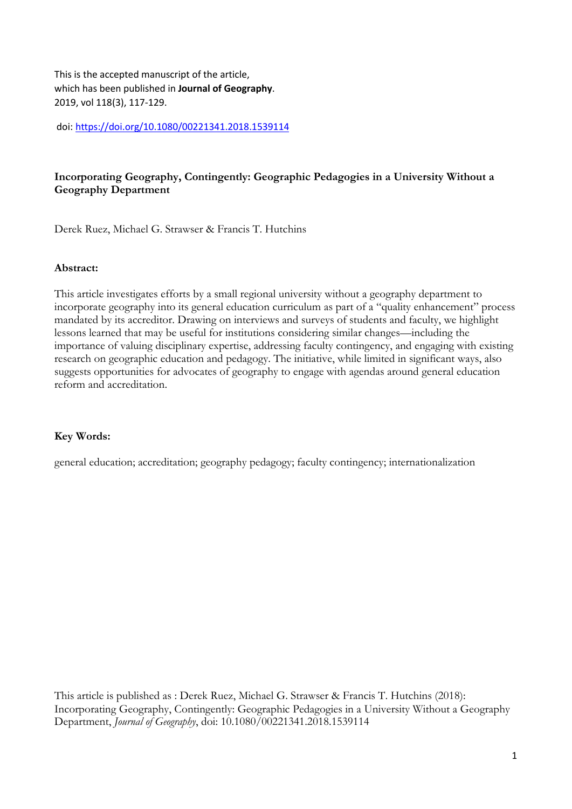This is the accepted manuscript of the article, which has been published in **Journal of Geography**. 2019, vol 118(3), 117-129.

doi[: https://doi.org/10.1080/00221341.2018.1539114](https://doi.org/10.1080/00221341.2018.1539114)

## **Incorporating Geography, Contingently: Geographic Pedagogies in a University Without a Geography Department**

Derek Ruez, Michael G. Strawser & Francis T. Hutchins

## **Abstract:**

This article investigates efforts by a small regional university without a geography department to incorporate geography into its general education curriculum as part of a "quality enhancement" process mandated by its accreditor. Drawing on interviews and surveys of students and faculty, we highlight lessons learned that may be useful for institutions considering similar changes—including the importance of valuing disciplinary expertise, addressing faculty contingency, and engaging with existing research on geographic education and pedagogy. The initiative, while limited in significant ways, also suggests opportunities for advocates of geography to engage with agendas around general education reform and accreditation.

## **Key Words:**

general education; accreditation; geography pedagogy; faculty contingency; internationalization

This article is published as : Derek Ruez, Michael G. Strawser & Francis T. Hutchins (2018): Incorporating Geography, Contingently: Geographic Pedagogies in a University Without a Geography Department, *Journal of Geography*, doi: 10.1080/00221341.2018.1539114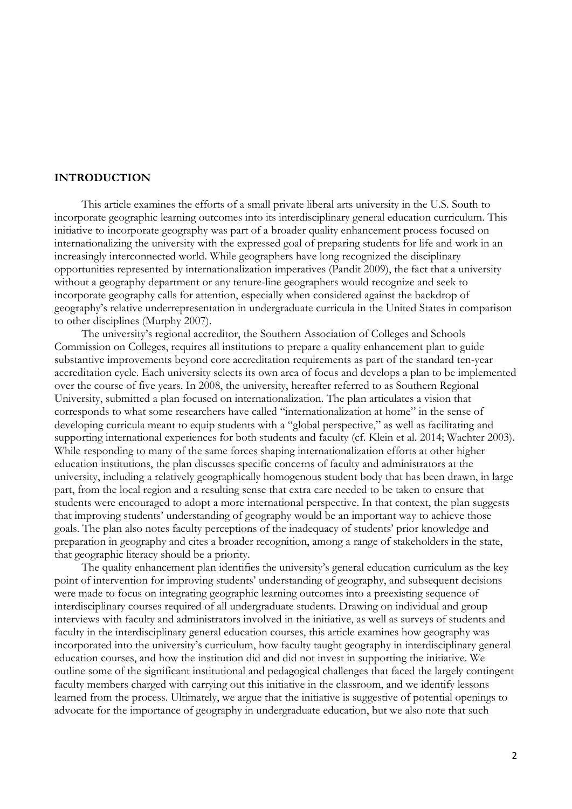#### **INTRODUCTION**

This article examines the efforts of a small private liberal arts university in the U.S. South to incorporate geographic learning outcomes into its interdisciplinary general education curriculum. This initiative to incorporate geography was part of a broader quality enhancement process focused on internationalizing the university with the expressed goal of preparing students for life and work in an increasingly interconnected world. While geographers have long recognized the disciplinary opportunities represented by internationalization imperatives (Pandit 2009), the fact that a university without a geography department or any tenure-line geographers would recognize and seek to incorporate geography calls for attention, especially when considered against the backdrop of geography's relative underrepresentation in undergraduate curricula in the United States in comparison to other disciplines (Murphy 2007).

The university's regional accreditor, the Southern Association of Colleges and Schools Commission on Colleges, requires all institutions to prepare a quality enhancement plan to guide substantive improvements beyond core accreditation requirements as part of the standard ten-year accreditation cycle. Each university selects its own area of focus and develops a plan to be implemented over the course of five years. In 2008, the university, hereafter referred to as Southern Regional University, submitted a plan focused on internationalization. The plan articulates a vision that corresponds to what some researchers have called "internationalization at home" in the sense of developing curricula meant to equip students with a "global perspective," as well as facilitating and supporting international experiences for both students and faculty (cf. Klein et al. 2014; Wachter 2003). While responding to many of the same forces shaping internationalization efforts at other higher education institutions, the plan discusses specific concerns of faculty and administrators at the university, including a relatively geographically homogenous student body that has been drawn, in large part, from the local region and a resulting sense that extra care needed to be taken to ensure that students were encouraged to adopt a more international perspective. In that context, the plan suggests that improving students' understanding of geography would be an important way to achieve those goals. The plan also notes faculty perceptions of the inadequacy of students' prior knowledge and preparation in geography and cites a broader recognition, among a range of stakeholders in the state, that geographic literacy should be a priority.

The quality enhancement plan identifies the university's general education curriculum as the key point of intervention for improving students' understanding of geography, and subsequent decisions were made to focus on integrating geographic learning outcomes into a preexisting sequence of interdisciplinary courses required of all undergraduate students. Drawing on individual and group interviews with faculty and administrators involved in the initiative, as well as surveys of students and faculty in the interdisciplinary general education courses, this article examines how geography was incorporated into the university's curriculum, how faculty taught geography in interdisciplinary general education courses, and how the institution did and did not invest in supporting the initiative. We outline some of the significant institutional and pedagogical challenges that faced the largely contingent faculty members charged with carrying out this initiative in the classroom, and we identify lessons learned from the process. Ultimately, we argue that the initiative is suggestive of potential openings to advocate for the importance of geography in undergraduate education, but we also note that such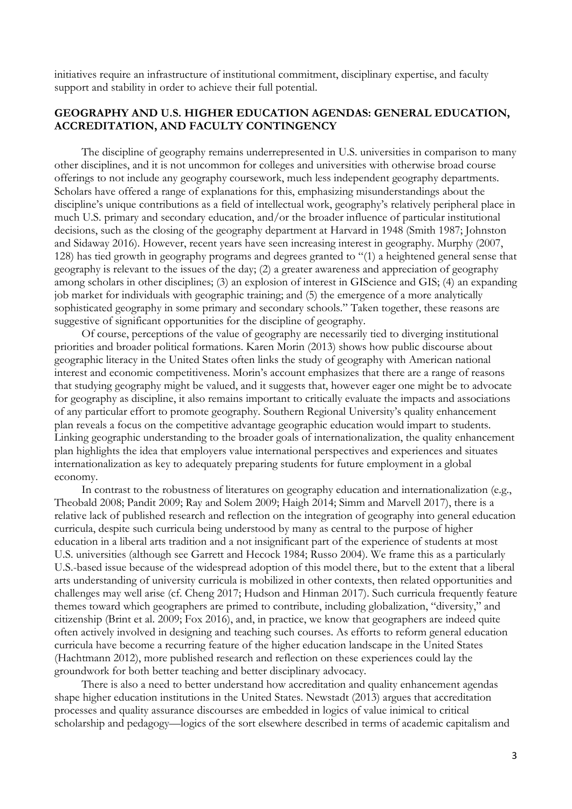initiatives require an infrastructure of institutional commitment, disciplinary expertise, and faculty support and stability in order to achieve their full potential.

## **GEOGRAPHY AND U.S. HIGHER EDUCATION AGENDAS: GENERAL EDUCATION, ACCREDITATION, AND FACULTY CONTINGENCY**

The discipline of geography remains underrepresented in U.S. universities in comparison to many other disciplines, and it is not uncommon for colleges and universities with otherwise broad course offerings to not include any geography coursework, much less independent geography departments. Scholars have offered a range of explanations for this, emphasizing misunderstandings about the discipline's unique contributions as a field of intellectual work, geography's relatively peripheral place in much U.S. primary and secondary education, and/or the broader influence of particular institutional decisions, such as the closing of the geography department at Harvard in 1948 (Smith 1987; Johnston and Sidaway 2016). However, recent years have seen increasing interest in geography. Murphy (2007, 128) has tied growth in geography programs and degrees granted to "(1) a heightened general sense that geography is relevant to the issues of the day; (2) a greater awareness and appreciation of geography among scholars in other disciplines; (3) an explosion of interest in GIScience and GIS; (4) an expanding job market for individuals with geographic training; and (5) the emergence of a more analytically sophisticated geography in some primary and secondary schools." Taken together, these reasons are suggestive of significant opportunities for the discipline of geography.

Of course, perceptions of the value of geography are necessarily tied to diverging institutional priorities and broader political formations. Karen Morin (2013) shows how public discourse about geographic literacy in the United States often links the study of geography with American national interest and economic competitiveness. Morin's account emphasizes that there are a range of reasons that studying geography might be valued, and it suggests that, however eager one might be to advocate for geography as discipline, it also remains important to critically evaluate the impacts and associations of any particular effort to promote geography. Southern Regional University's quality enhancement plan reveals a focus on the competitive advantage geographic education would impart to students. Linking geographic understanding to the broader goals of internationalization, the quality enhancement plan highlights the idea that employers value international perspectives and experiences and situates internationalization as key to adequately preparing students for future employment in a global economy.

In contrast to the robustness of literatures on geography education and internationalization (e.g., Theobald 2008; Pandit 2009; Ray and Solem 2009; Haigh 2014; Simm and Marvell 2017), there is a relative lack of published research and reflection on the integration of geography into general education curricula, despite such curricula being understood by many as central to the purpose of higher education in a liberal arts tradition and a not insignificant part of the experience of students at most U.S. universities (although see Garrett and Hecock 1984; Russo 2004). We frame this as a particularly U.S.-based issue because of the widespread adoption of this model there, but to the extent that a liberal arts understanding of university curricula is mobilized in other contexts, then related opportunities and challenges may well arise (cf. Cheng 2017; Hudson and Hinman 2017). Such curricula frequently feature themes toward which geographers are primed to contribute, including globalization, "diversity," and citizenship (Brint et al. 2009; Fox 2016), and, in practice, we know that geographers are indeed quite often actively involved in designing and teaching such courses. As efforts to reform general education curricula have become a recurring feature of the higher education landscape in the United States (Hachtmann 2012), more published research and reflection on these experiences could lay the groundwork for both better teaching and better disciplinary advocacy.

There is also a need to better understand how accreditation and quality enhancement agendas shape higher education institutions in the United States. Newstadt (2013) argues that accreditation processes and quality assurance discourses are embedded in logics of value inimical to critical scholarship and pedagogy—logics of the sort elsewhere described in terms of academic capitalism and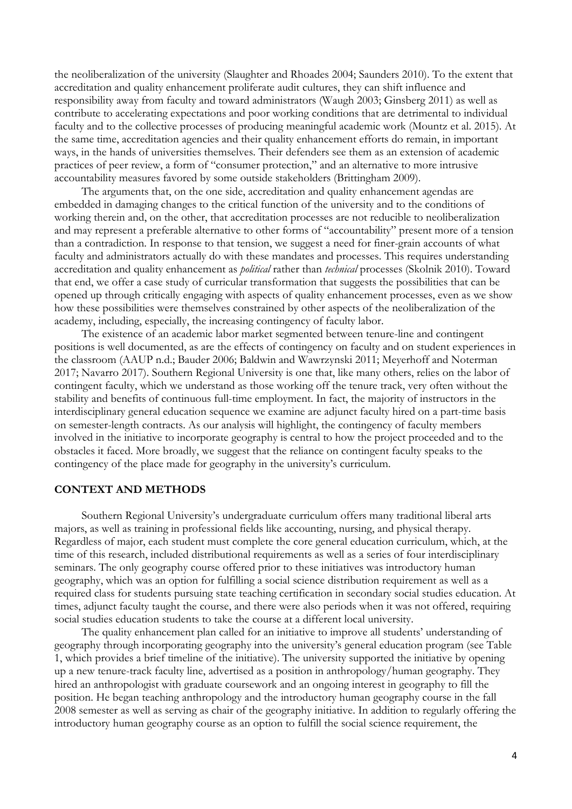the neoliberalization of the university (Slaughter and Rhoades 2004; Saunders 2010). To the extent that accreditation and quality enhancement proliferate audit cultures, they can shift influence and responsibility away from faculty and toward administrators (Waugh 2003; Ginsberg 2011) as well as contribute to accelerating expectations and poor working conditions that are detrimental to individual faculty and to the collective processes of producing meaningful academic work (Mountz et al. 2015). At the same time, accreditation agencies and their quality enhancement efforts do remain, in important ways, in the hands of universities themselves. Their defenders see them as an extension of academic practices of peer review, a form of "consumer protection," and an alternative to more intrusive accountability measures favored by some outside stakeholders (Brittingham 2009).

The arguments that, on the one side, accreditation and quality enhancement agendas are embedded in damaging changes to the critical function of the university and to the conditions of working therein and, on the other, that accreditation processes are not reducible to neoliberalization and may represent a preferable alternative to other forms of "accountability" present more of a tension than a contradiction. In response to that tension, we suggest a need for finer-grain accounts of what faculty and administrators actually do with these mandates and processes. This requires understanding accreditation and quality enhancement as *political* rather than *technical* processes (Skolnik 2010). Toward that end, we offer a case study of curricular transformation that suggests the possibilities that can be opened up through critically engaging with aspects of quality enhancement processes, even as we show how these possibilities were themselves constrained by other aspects of the neoliberalization of the academy, including, especially, the increasing contingency of faculty labor.

The existence of an academic labor market segmented between tenure-line and contingent positions is well documented, as are the effects of contingency on faculty and on student experiences in the classroom (AAUP n.d.; Bauder 2006; Baldwin and Wawrzynski 2011; Meyerhoff and Noterman 2017; Navarro 2017). Southern Regional University is one that, like many others, relies on the labor of contingent faculty, which we understand as those working off the tenure track, very often without the stability and benefits of continuous full-time employment. In fact, the majority of instructors in the interdisciplinary general education sequence we examine are adjunct faculty hired on a part-time basis on semester-length contracts. As our analysis will highlight, the contingency of faculty members involved in the initiative to incorporate geography is central to how the project proceeded and to the obstacles it faced. More broadly, we suggest that the reliance on contingent faculty speaks to the contingency of the place made for geography in the university's curriculum.

## **CONTEXT AND METHODS**

Southern Regional University's undergraduate curriculum offers many traditional liberal arts majors, as well as training in professional fields like accounting, nursing, and physical therapy. Regardless of major, each student must complete the core general education curriculum, which, at the time of this research, included distributional requirements as well as a series of four interdisciplinary seminars. The only geography course offered prior to these initiatives was introductory human geography, which was an option for fulfilling a social science distribution requirement as well as a required class for students pursuing state teaching certification in secondary social studies education. At times, adjunct faculty taught the course, and there were also periods when it was not offered, requiring social studies education students to take the course at a different local university.

The quality enhancement plan called for an initiative to improve all students' understanding of geography through incorporating geography into the university's general education program (see Table 1, which provides a brief timeline of the initiative). The university supported the initiative by opening up a new tenure-track faculty line, advertised as a position in anthropology/human geography. They hired an anthropologist with graduate coursework and an ongoing interest in geography to fill the position. He began teaching anthropology and the introductory human geography course in the fall 2008 semester as well as serving as chair of the geography initiative. In addition to regularly offering the introductory human geography course as an option to fulfill the social science requirement, the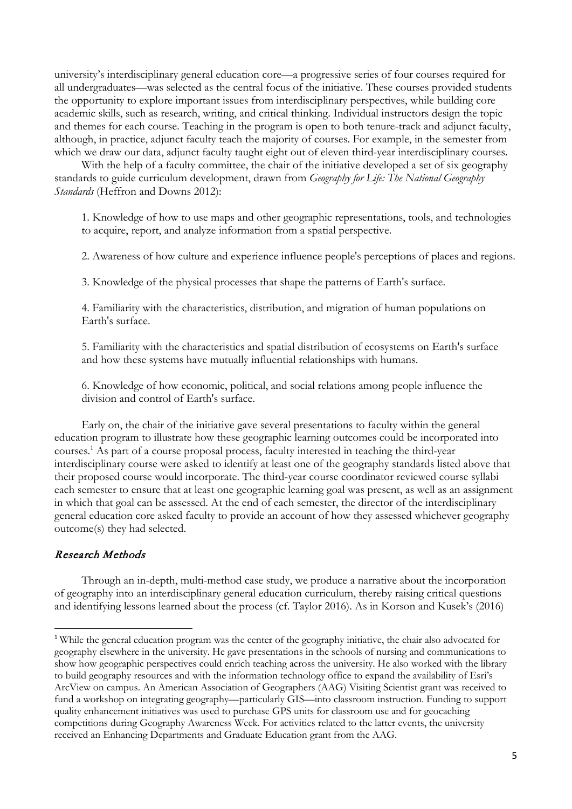university's interdisciplinary general education core—a progressive series of four courses required for all undergraduates—was selected as the central focus of the initiative. These courses provided students the opportunity to explore important issues from interdisciplinary perspectives, while building core academic skills, such as research, writing, and critical thinking. Individual instructors design the topic and themes for each course. Teaching in the program is open to both tenure-track and adjunct faculty, although, in practice, adjunct faculty teach the majority of courses. For example, in the semester from which we draw our data, adjunct faculty taught eight out of eleven third-year interdisciplinary courses.

With the help of a faculty committee, the chair of the initiative developed a set of six geography standards to guide curriculum development, drawn from *Geography for Life: The National Geography Standards* (Heffron and Downs 2012):

1. Knowledge of how to use maps and other geographic representations, tools, and technologies to acquire, report, and analyze information from a spatial perspective.

2. Awareness of how culture and experience influence people's perceptions of places and regions.

3. Knowledge of the physical processes that shape the patterns of Earth's surface.

4. Familiarity with the characteristics, distribution, and migration of human populations on Earth's surface.

5. Familiarity with the characteristics and spatial distribution of ecosystems on Earth's surface and how these systems have mutually influential relationships with humans.

6. Knowledge of how economic, political, and social relations among people influence the division and control of Earth's surface.

Early on, the chair of the initiative gave several presentations to faculty within the general education program to illustrate how these geographic learning outcomes could be incorporated into courses.1 As part of a course proposal process, faculty interested in teaching the third-year interdisciplinary course were asked to identify at least one of the geography standards listed above that their proposed course would incorporate. The third-year course coordinator reviewed course syllabi each semester to ensure that at least one geographic learning goal was present, as well as an assignment in which that goal can be assessed. At the end of each semester, the director of the interdisciplinary general education core asked faculty to provide an account of how they assessed whichever geography outcome(s) they had selected.

## Research Methods

Through an in-depth, multi-method case study, we produce a narrative about the incorporation of geography into an interdisciplinary general education curriculum, thereby raising critical questions and identifying lessons learned about the process (cf. Taylor 2016). As in Korson and Kusek's (2016)

 <sup>1</sup> While the general education program was the center of the geography initiative, the chair also advocated for geography elsewhere in the university. He gave presentations in the schools of nursing and communications to show how geographic perspectives could enrich teaching across the university. He also worked with the library to build geography resources and with the information technology office to expand the availability of Esri's ArcView on campus. An American Association of Geographers (AAG) Visiting Scientist grant was received to fund a workshop on integrating geography—particularly GIS—into classroom instruction. Funding to support quality enhancement initiatives was used to purchase GPS units for classroom use and for geocaching competitions during Geography Awareness Week. For activities related to the latter events, the university received an Enhancing Departments and Graduate Education grant from the AAG.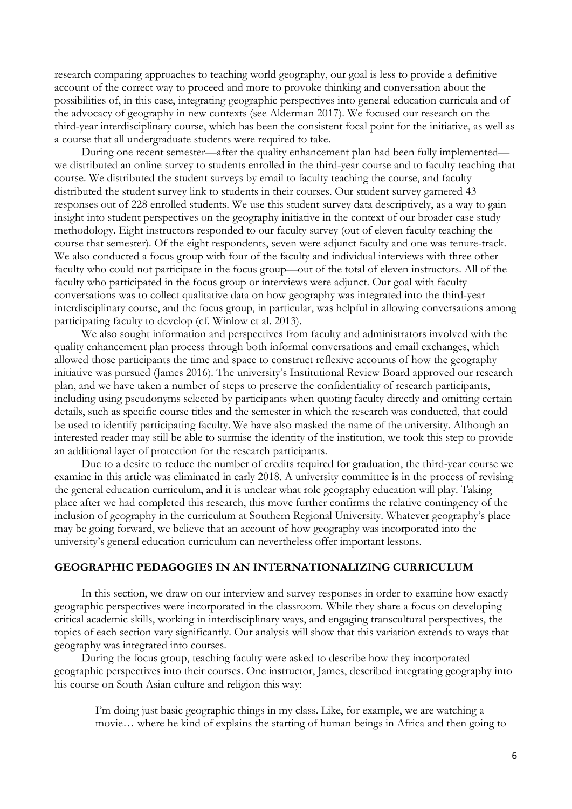research comparing approaches to teaching world geography, our goal is less to provide a definitive account of the correct way to proceed and more to provoke thinking and conversation about the possibilities of, in this case, integrating geographic perspectives into general education curricula and of the advocacy of geography in new contexts (see Alderman 2017). We focused our research on the third-year interdisciplinary course, which has been the consistent focal point for the initiative, as well as a course that all undergraduate students were required to take.

During one recent semester—after the quality enhancement plan had been fully implemented we distributed an online survey to students enrolled in the third-year course and to faculty teaching that course. We distributed the student surveys by email to faculty teaching the course, and faculty distributed the student survey link to students in their courses. Our student survey garnered 43 responses out of 228 enrolled students. We use this student survey data descriptively, as a way to gain insight into student perspectives on the geography initiative in the context of our broader case study methodology. Eight instructors responded to our faculty survey (out of eleven faculty teaching the course that semester). Of the eight respondents, seven were adjunct faculty and one was tenure-track. We also conducted a focus group with four of the faculty and individual interviews with three other faculty who could not participate in the focus group—out of the total of eleven instructors. All of the faculty who participated in the focus group or interviews were adjunct. Our goal with faculty conversations was to collect qualitative data on how geography was integrated into the third-year interdisciplinary course, and the focus group, in particular, was helpful in allowing conversations among participating faculty to develop (cf. Winlow et al. 2013).

We also sought information and perspectives from faculty and administrators involved with the quality enhancement plan process through both informal conversations and email exchanges, which allowed those participants the time and space to construct reflexive accounts of how the geography initiative was pursued (James 2016). The university's Institutional Review Board approved our research plan, and we have taken a number of steps to preserve the confidentiality of research participants, including using pseudonyms selected by participants when quoting faculty directly and omitting certain details, such as specific course titles and the semester in which the research was conducted, that could be used to identify participating faculty. We have also masked the name of the university. Although an interested reader may still be able to surmise the identity of the institution, we took this step to provide an additional layer of protection for the research participants.

Due to a desire to reduce the number of credits required for graduation, the third-year course we examine in this article was eliminated in early 2018. A university committee is in the process of revising the general education curriculum, and it is unclear what role geography education will play. Taking place after we had completed this research, this move further confirms the relative contingency of the inclusion of geography in the curriculum at Southern Regional University. Whatever geography's place may be going forward, we believe that an account of how geography was incorporated into the university's general education curriculum can nevertheless offer important lessons.

#### **GEOGRAPHIC PEDAGOGIES IN AN INTERNATIONALIZING CURRICULUM**

In this section, we draw on our interview and survey responses in order to examine how exactly geographic perspectives were incorporated in the classroom. While they share a focus on developing critical academic skills, working in interdisciplinary ways, and engaging transcultural perspectives, the topics of each section vary significantly. Our analysis will show that this variation extends to ways that geography was integrated into courses.

During the focus group, teaching faculty were asked to describe how they incorporated geographic perspectives into their courses. One instructor, James, described integrating geography into his course on South Asian culture and religion this way:

I'm doing just basic geographic things in my class. Like, for example, we are watching a movie… where he kind of explains the starting of human beings in Africa and then going to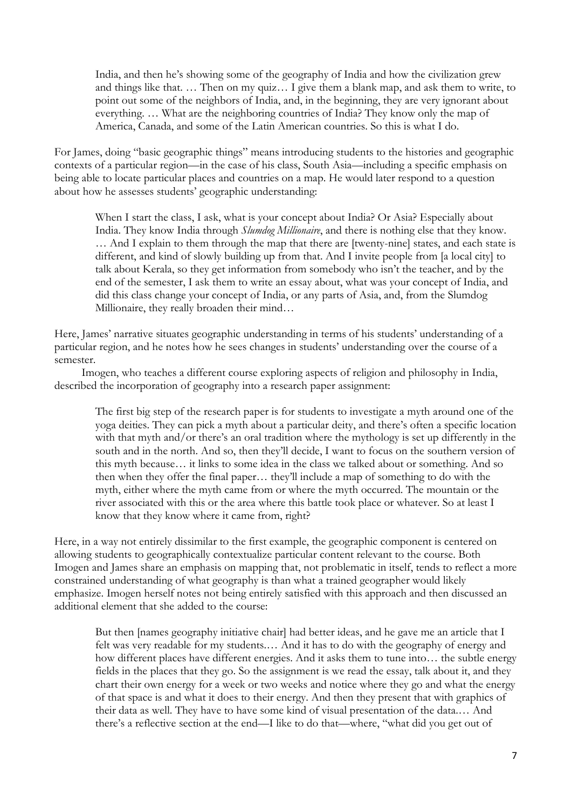India, and then he's showing some of the geography of India and how the civilization grew and things like that. … Then on my quiz… I give them a blank map, and ask them to write, to point out some of the neighbors of India, and, in the beginning, they are very ignorant about everything. … What are the neighboring countries of India? They know only the map of America, Canada, and some of the Latin American countries. So this is what I do.

For James, doing "basic geographic things" means introducing students to the histories and geographic contexts of a particular region—in the case of his class, South Asia—including a specific emphasis on being able to locate particular places and countries on a map. He would later respond to a question about how he assesses students' geographic understanding:

When I start the class, I ask, what is your concept about India? Or Asia? Especially about India. They know India through *Slumdog Millionaire*, and there is nothing else that they know. … And I explain to them through the map that there are [twenty-nine] states, and each state is different, and kind of slowly building up from that. And I invite people from [a local city] to talk about Kerala, so they get information from somebody who isn't the teacher, and by the end of the semester, I ask them to write an essay about, what was your concept of India, and did this class change your concept of India, or any parts of Asia, and, from the Slumdog Millionaire, they really broaden their mind…

Here, James' narrative situates geographic understanding in terms of his students' understanding of a particular region, and he notes how he sees changes in students' understanding over the course of a semester.

Imogen, who teaches a different course exploring aspects of religion and philosophy in India, described the incorporation of geography into a research paper assignment:

The first big step of the research paper is for students to investigate a myth around one of the yoga deities. They can pick a myth about a particular deity, and there's often a specific location with that myth and/or there's an oral tradition where the mythology is set up differently in the south and in the north. And so, then they'll decide, I want to focus on the southern version of this myth because… it links to some idea in the class we talked about or something. And so then when they offer the final paper… they'll include a map of something to do with the myth, either where the myth came from or where the myth occurred. The mountain or the river associated with this or the area where this battle took place or whatever. So at least I know that they know where it came from, right?

Here, in a way not entirely dissimilar to the first example, the geographic component is centered on allowing students to geographically contextualize particular content relevant to the course. Both Imogen and James share an emphasis on mapping that, not problematic in itself, tends to reflect a more constrained understanding of what geography is than what a trained geographer would likely emphasize. Imogen herself notes not being entirely satisfied with this approach and then discussed an additional element that she added to the course:

But then [names geography initiative chair] had better ideas, and he gave me an article that I felt was very readable for my students.… And it has to do with the geography of energy and how different places have different energies. And it asks them to tune into… the subtle energy fields in the places that they go. So the assignment is we read the essay, talk about it, and they chart their own energy for a week or two weeks and notice where they go and what the energy of that space is and what it does to their energy. And then they present that with graphics of their data as well. They have to have some kind of visual presentation of the data.… And there's a reflective section at the end—I like to do that—where, "what did you get out of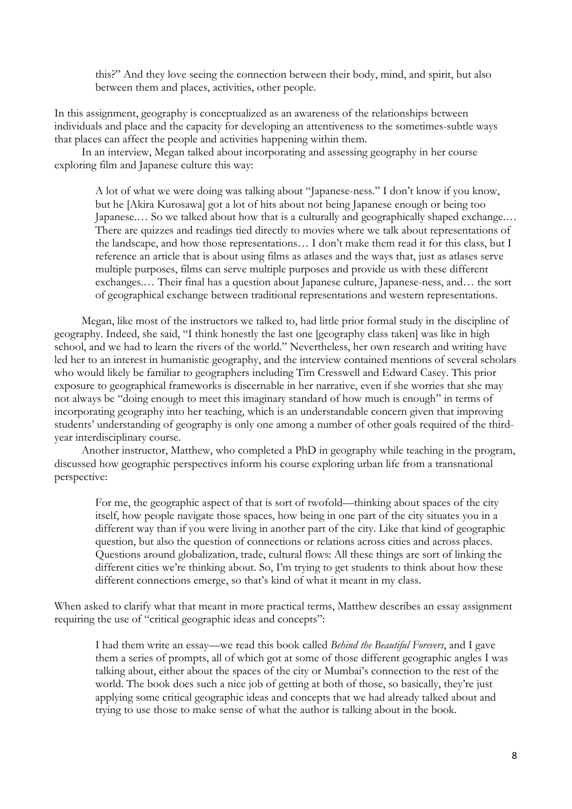this?" And they love seeing the connection between their body, mind, and spirit, but also between them and places, activities, other people.

In this assignment, geography is conceptualized as an awareness of the relationships between individuals and place and the capacity for developing an attentiveness to the sometimes-subtle ways that places can affect the people and activities happening within them.

In an interview, Megan talked about incorporating and assessing geography in her course exploring film and Japanese culture this way:

A lot of what we were doing was talking about "Japanese-ness." I don't know if you know, but he [Akira Kurosawa] got a lot of hits about not being Japanese enough or being too Japanese.… So we talked about how that is a culturally and geographically shaped exchange.… There are quizzes and readings tied directly to movies where we talk about representations of the landscape, and how those representations… I don't make them read it for this class, but I reference an article that is about using films as atlases and the ways that, just as atlases serve multiple purposes, films can serve multiple purposes and provide us with these different exchanges.… Their final has a question about Japanese culture, Japanese-ness, and… the sort of geographical exchange between traditional representations and western representations.

Megan, like most of the instructors we talked to, had little prior formal study in the discipline of geography. Indeed, she said, "I think honestly the last one [geography class taken] was like in high school, and we had to learn the rivers of the world." Nevertheless, her own research and writing have led her to an interest in humanistic geography, and the interview contained mentions of several scholars who would likely be familiar to geographers including Tim Cresswell and Edward Casey. This prior exposure to geographical frameworks is discernable in her narrative, even if she worries that she may not always be "doing enough to meet this imaginary standard of how much is enough" in terms of incorporating geography into her teaching, which is an understandable concern given that improving students' understanding of geography is only one among a number of other goals required of the thirdyear interdisciplinary course.

Another instructor, Matthew, who completed a PhD in geography while teaching in the program, discussed how geographic perspectives inform his course exploring urban life from a transnational perspective:

For me, the geographic aspect of that is sort of twofold—thinking about spaces of the city itself, how people navigate those spaces, how being in one part of the city situates you in a different way than if you were living in another part of the city. Like that kind of geographic question, but also the question of connections or relations across cities and across places. Questions around globalization, trade, cultural flows: All these things are sort of linking the different cities we're thinking about. So, I'm trying to get students to think about how these different connections emerge, so that's kind of what it meant in my class.

When asked to clarify what that meant in more practical terms, Matthew describes an essay assignment requiring the use of "critical geographic ideas and concepts":

I had them write an essay—we read this book called *Behind the Beautiful Forevers*, and I gave them a series of prompts, all of which got at some of those different geographic angles I was talking about, either about the spaces of the city or Mumbai's connection to the rest of the world. The book does such a nice job of getting at both of those, so basically, they're just applying some critical geographic ideas and concepts that we had already talked about and trying to use those to make sense of what the author is talking about in the book.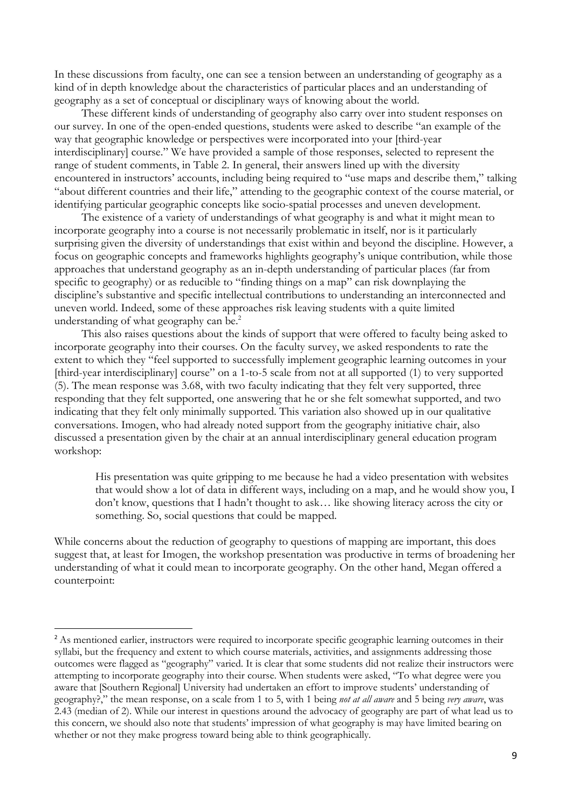In these discussions from faculty, one can see a tension between an understanding of geography as a kind of in depth knowledge about the characteristics of particular places and an understanding of geography as a set of conceptual or disciplinary ways of knowing about the world.

These different kinds of understanding of geography also carry over into student responses on our survey. In one of the open-ended questions, students were asked to describe "an example of the way that geographic knowledge or perspectives were incorporated into your [third-year interdisciplinary] course." We have provided a sample of those responses, selected to represent the range of student comments, in Table 2. In general, their answers lined up with the diversity encountered in instructors' accounts, including being required to "use maps and describe them," talking "about different countries and their life," attending to the geographic context of the course material, or identifying particular geographic concepts like socio-spatial processes and uneven development.

The existence of a variety of understandings of what geography is and what it might mean to incorporate geography into a course is not necessarily problematic in itself, nor is it particularly surprising given the diversity of understandings that exist within and beyond the discipline. However, a focus on geographic concepts and frameworks highlights geography's unique contribution, while those approaches that understand geography as an in-depth understanding of particular places (far from specific to geography) or as reducible to "finding things on a map" can risk downplaying the discipline's substantive and specific intellectual contributions to understanding an interconnected and uneven world. Indeed, some of these approaches risk leaving students with a quite limited understanding of what geography can be.<sup>2</sup>

This also raises questions about the kinds of support that were offered to faculty being asked to incorporate geography into their courses. On the faculty survey, we asked respondents to rate the extent to which they "feel supported to successfully implement geographic learning outcomes in your [third-year interdisciplinary] course" on a 1-to-5 scale from not at all supported (1) to very supported (5). The mean response was 3.68, with two faculty indicating that they felt very supported, three responding that they felt supported, one answering that he or she felt somewhat supported, and two indicating that they felt only minimally supported. This variation also showed up in our qualitative conversations. Imogen, who had already noted support from the geography initiative chair, also discussed a presentation given by the chair at an annual interdisciplinary general education program workshop:

His presentation was quite gripping to me because he had a video presentation with websites that would show a lot of data in different ways, including on a map, and he would show you, I don't know, questions that I hadn't thought to ask… like showing literacy across the city or something. So, social questions that could be mapped.

While concerns about the reduction of geography to questions of mapping are important, this does suggest that, at least for Imogen, the workshop presentation was productive in terms of broadening her understanding of what it could mean to incorporate geography. On the other hand, Megan offered a counterpoint:

<sup>&</sup>lt;sup>2</sup> As mentioned earlier, instructors were required to incorporate specific geographic learning outcomes in their syllabi, but the frequency and extent to which course materials, activities, and assignments addressing those outcomes were flagged as "geography" varied. It is clear that some students did not realize their instructors were attempting to incorporate geography into their course. When students were asked, "To what degree were you aware that [Southern Regional] University had undertaken an effort to improve students' understanding of geography?," the mean response, on a scale from 1 to 5, with 1 being *not at all aware* and 5 being *very aware*, was 2.43 (median of 2). While our interest in questions around the advocacy of geography are part of what lead us to this concern, we should also note that students' impression of what geography is may have limited bearing on whether or not they make progress toward being able to think geographically.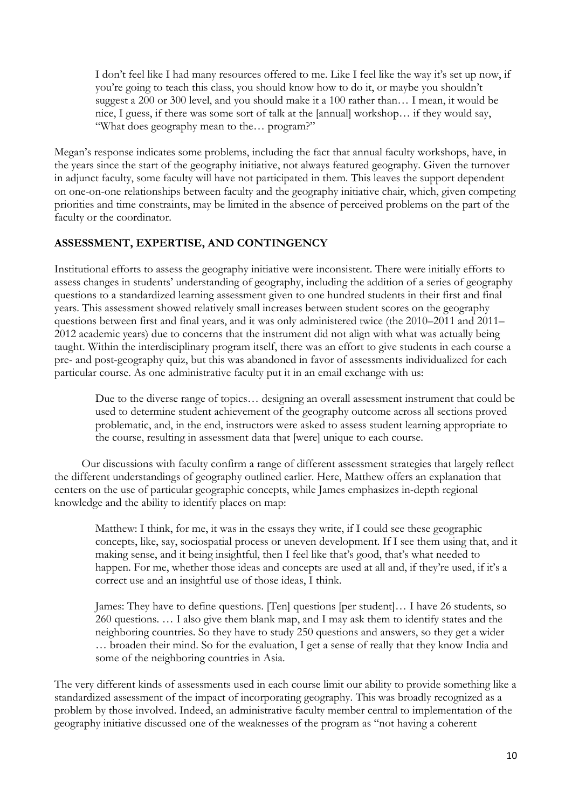I don't feel like I had many resources offered to me. Like I feel like the way it's set up now, if you're going to teach this class, you should know how to do it, or maybe you shouldn't suggest a 200 or 300 level, and you should make it a 100 rather than… I mean, it would be nice, I guess, if there was some sort of talk at the [annual] workshop… if they would say, "What does geography mean to the… program?"

Megan's response indicates some problems, including the fact that annual faculty workshops, have, in the years since the start of the geography initiative, not always featured geography. Given the turnover in adjunct faculty, some faculty will have not participated in them. This leaves the support dependent on one-on-one relationships between faculty and the geography initiative chair, which, given competing priorities and time constraints, may be limited in the absence of perceived problems on the part of the faculty or the coordinator.

## **ASSESSMENT, EXPERTISE, AND CONTINGENCY**

Institutional efforts to assess the geography initiative were inconsistent. There were initially efforts to assess changes in students' understanding of geography, including the addition of a series of geography questions to a standardized learning assessment given to one hundred students in their first and final years. This assessment showed relatively small increases between student scores on the geography questions between first and final years, and it was only administered twice (the 2010–2011 and 2011– 2012 academic years) due to concerns that the instrument did not align with what was actually being taught. Within the interdisciplinary program itself, there was an effort to give students in each course a pre- and post-geography quiz, but this was abandoned in favor of assessments individualized for each particular course. As one administrative faculty put it in an email exchange with us:

Due to the diverse range of topics… designing an overall assessment instrument that could be used to determine student achievement of the geography outcome across all sections proved problematic, and, in the end, instructors were asked to assess student learning appropriate to the course, resulting in assessment data that [were] unique to each course.

Our discussions with faculty confirm a range of different assessment strategies that largely reflect the different understandings of geography outlined earlier. Here, Matthew offers an explanation that centers on the use of particular geographic concepts, while James emphasizes in-depth regional knowledge and the ability to identify places on map:

Matthew: I think, for me, it was in the essays they write, if I could see these geographic concepts, like, say, sociospatial process or uneven development. If I see them using that, and it making sense, and it being insightful, then I feel like that's good, that's what needed to happen. For me, whether those ideas and concepts are used at all and, if they're used, if it's a correct use and an insightful use of those ideas, I think.

James: They have to define questions. [Ten] questions [per student]… I have 26 students, so 260 questions. … I also give them blank map, and I may ask them to identify states and the neighboring countries. So they have to study 250 questions and answers, so they get a wider … broaden their mind. So for the evaluation, I get a sense of really that they know India and some of the neighboring countries in Asia.

The very different kinds of assessments used in each course limit our ability to provide something like a standardized assessment of the impact of incorporating geography. This was broadly recognized as a problem by those involved. Indeed, an administrative faculty member central to implementation of the geography initiative discussed one of the weaknesses of the program as "not having a coherent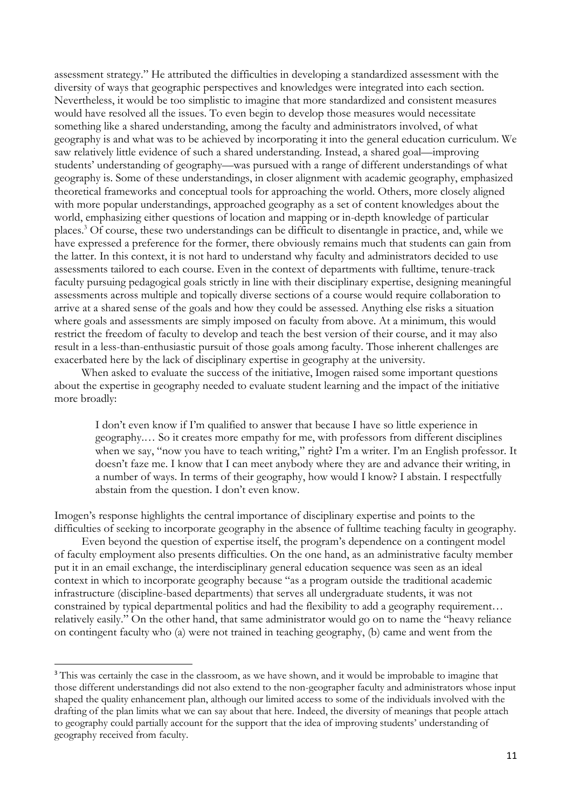assessment strategy." He attributed the difficulties in developing a standardized assessment with the diversity of ways that geographic perspectives and knowledges were integrated into each section. Nevertheless, it would be too simplistic to imagine that more standardized and consistent measures would have resolved all the issues. To even begin to develop those measures would necessitate something like a shared understanding, among the faculty and administrators involved, of what geography is and what was to be achieved by incorporating it into the general education curriculum. We saw relatively little evidence of such a shared understanding. Instead, a shared goal—improving students' understanding of geography—was pursued with a range of different understandings of what geography is. Some of these understandings, in closer alignment with academic geography, emphasized theoretical frameworks and conceptual tools for approaching the world. Others, more closely aligned with more popular understandings, approached geography as a set of content knowledges about the world, emphasizing either questions of location and mapping or in-depth knowledge of particular places.3 Of course, these two understandings can be difficult to disentangle in practice, and, while we have expressed a preference for the former, there obviously remains much that students can gain from the latter. In this context, it is not hard to understand why faculty and administrators decided to use assessments tailored to each course. Even in the context of departments with fulltime, tenure-track faculty pursuing pedagogical goals strictly in line with their disciplinary expertise, designing meaningful assessments across multiple and topically diverse sections of a course would require collaboration to arrive at a shared sense of the goals and how they could be assessed. Anything else risks a situation where goals and assessments are simply imposed on faculty from above. At a minimum, this would restrict the freedom of faculty to develop and teach the best version of their course, and it may also result in a less-than-enthusiastic pursuit of those goals among faculty. Those inherent challenges are exacerbated here by the lack of disciplinary expertise in geography at the university.

When asked to evaluate the success of the initiative, Imogen raised some important questions about the expertise in geography needed to evaluate student learning and the impact of the initiative more broadly:

I don't even know if I'm qualified to answer that because I have so little experience in geography.… So it creates more empathy for me, with professors from different disciplines when we say, "now you have to teach writing," right? I'm a writer. I'm an English professor. It doesn't faze me. I know that I can meet anybody where they are and advance their writing, in a number of ways. In terms of their geography, how would I know? I abstain. I respectfully abstain from the question. I don't even know.

Imogen's response highlights the central importance of disciplinary expertise and points to the difficulties of seeking to incorporate geography in the absence of fulltime teaching faculty in geography.

Even beyond the question of expertise itself, the program's dependence on a contingent model of faculty employment also presents difficulties. On the one hand, as an administrative faculty member put it in an email exchange, the interdisciplinary general education sequence was seen as an ideal context in which to incorporate geography because "as a program outside the traditional academic infrastructure (discipline-based departments) that serves all undergraduate students, it was not constrained by typical departmental politics and had the flexibility to add a geography requirement… relatively easily." On the other hand, that same administrator would go on to name the "heavy reliance on contingent faculty who (a) were not trained in teaching geography, (b) came and went from the

<sup>&</sup>lt;sup>3</sup> This was certainly the case in the classroom, as we have shown, and it would be improbable to imagine that those different understandings did not also extend to the non-geographer faculty and administrators whose input shaped the quality enhancement plan, although our limited access to some of the individuals involved with the drafting of the plan limits what we can say about that here. Indeed, the diversity of meanings that people attach to geography could partially account for the support that the idea of improving students' understanding of geography received from faculty.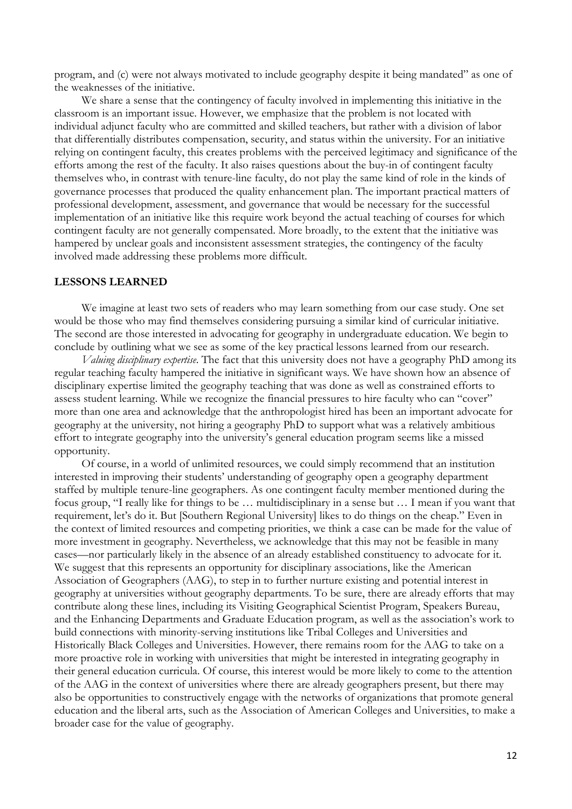program, and (c) were not always motivated to include geography despite it being mandated" as one of the weaknesses of the initiative.

We share a sense that the contingency of faculty involved in implementing this initiative in the classroom is an important issue. However, we emphasize that the problem is not located with individual adjunct faculty who are committed and skilled teachers, but rather with a division of labor that differentially distributes compensation, security, and status within the university. For an initiative relying on contingent faculty, this creates problems with the perceived legitimacy and significance of the efforts among the rest of the faculty. It also raises questions about the buy-in of contingent faculty themselves who, in contrast with tenure-line faculty, do not play the same kind of role in the kinds of governance processes that produced the quality enhancement plan. The important practical matters of professional development, assessment, and governance that would be necessary for the successful implementation of an initiative like this require work beyond the actual teaching of courses for which contingent faculty are not generally compensated. More broadly, to the extent that the initiative was hampered by unclear goals and inconsistent assessment strategies, the contingency of the faculty involved made addressing these problems more difficult.

#### **LESSONS LEARNED**

We imagine at least two sets of readers who may learn something from our case study. One set would be those who may find themselves considering pursuing a similar kind of curricular initiative. The second are those interested in advocating for geography in undergraduate education. We begin to conclude by outlining what we see as some of the key practical lessons learned from our research.

*Valuing disciplinary expertise*. The fact that this university does not have a geography PhD among its regular teaching faculty hampered the initiative in significant ways. We have shown how an absence of disciplinary expertise limited the geography teaching that was done as well as constrained efforts to assess student learning. While we recognize the financial pressures to hire faculty who can "cover" more than one area and acknowledge that the anthropologist hired has been an important advocate for geography at the university, not hiring a geography PhD to support what was a relatively ambitious effort to integrate geography into the university's general education program seems like a missed opportunity.

Of course, in a world of unlimited resources, we could simply recommend that an institution interested in improving their students' understanding of geography open a geography department staffed by multiple tenure-line geographers. As one contingent faculty member mentioned during the focus group, "I really like for things to be … multidisciplinary in a sense but … I mean if you want that requirement, let's do it. But [Southern Regional University] likes to do things on the cheap." Even in the context of limited resources and competing priorities, we think a case can be made for the value of more investment in geography. Nevertheless, we acknowledge that this may not be feasible in many cases—nor particularly likely in the absence of an already established constituency to advocate for it. We suggest that this represents an opportunity for disciplinary associations, like the American Association of Geographers (AAG), to step in to further nurture existing and potential interest in geography at universities without geography departments. To be sure, there are already efforts that may contribute along these lines, including its Visiting Geographical Scientist Program, Speakers Bureau, and the Enhancing Departments and Graduate Education program, as well as the association's work to build connections with minority-serving institutions like Tribal Colleges and Universities and Historically Black Colleges and Universities. However, there remains room for the AAG to take on a more proactive role in working with universities that might be interested in integrating geography in their general education curricula. Of course, this interest would be more likely to come to the attention of the AAG in the context of universities where there are already geographers present, but there may also be opportunities to constructively engage with the networks of organizations that promote general education and the liberal arts, such as the Association of American Colleges and Universities, to make a broader case for the value of geography.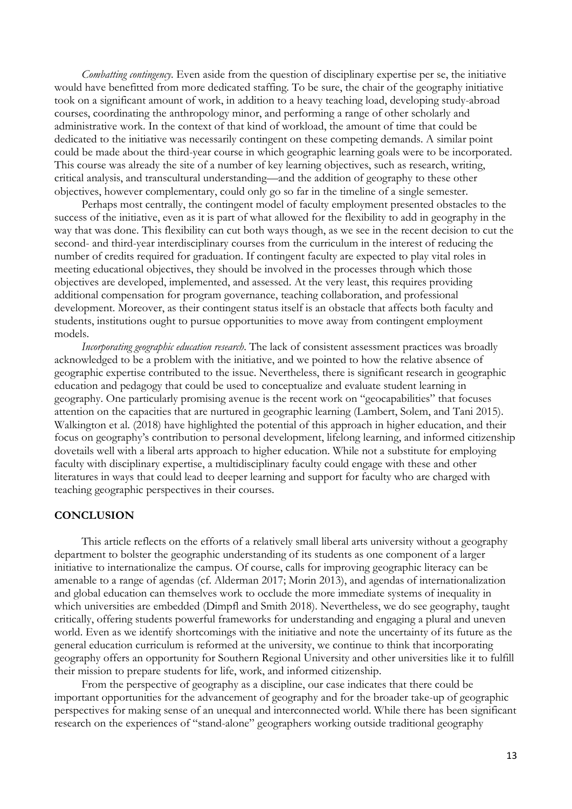*Combatting contingency*. Even aside from the question of disciplinary expertise per se, the initiative would have benefitted from more dedicated staffing. To be sure, the chair of the geography initiative took on a significant amount of work, in addition to a heavy teaching load, developing study-abroad courses, coordinating the anthropology minor, and performing a range of other scholarly and administrative work. In the context of that kind of workload, the amount of time that could be dedicated to the initiative was necessarily contingent on these competing demands. A similar point could be made about the third-year course in which geographic learning goals were to be incorporated. This course was already the site of a number of key learning objectives, such as research, writing, critical analysis, and transcultural understanding—and the addition of geography to these other objectives, however complementary, could only go so far in the timeline of a single semester.

Perhaps most centrally, the contingent model of faculty employment presented obstacles to the success of the initiative, even as it is part of what allowed for the flexibility to add in geography in the way that was done. This flexibility can cut both ways though, as we see in the recent decision to cut the second- and third-year interdisciplinary courses from the curriculum in the interest of reducing the number of credits required for graduation. If contingent faculty are expected to play vital roles in meeting educational objectives, they should be involved in the processes through which those objectives are developed, implemented, and assessed. At the very least, this requires providing additional compensation for program governance, teaching collaboration, and professional development. Moreover, as their contingent status itself is an obstacle that affects both faculty and students, institutions ought to pursue opportunities to move away from contingent employment models.

*Incorporating geographic education research*. The lack of consistent assessment practices was broadly acknowledged to be a problem with the initiative, and we pointed to how the relative absence of geographic expertise contributed to the issue. Nevertheless, there is significant research in geographic education and pedagogy that could be used to conceptualize and evaluate student learning in geography. One particularly promising avenue is the recent work on "geocapabilities" that focuses attention on the capacities that are nurtured in geographic learning (Lambert, Solem, and Tani 2015). Walkington et al. (2018) have highlighted the potential of this approach in higher education, and their focus on geography's contribution to personal development, lifelong learning, and informed citizenship dovetails well with a liberal arts approach to higher education. While not a substitute for employing faculty with disciplinary expertise, a multidisciplinary faculty could engage with these and other literatures in ways that could lead to deeper learning and support for faculty who are charged with teaching geographic perspectives in their courses.

#### **CONCLUSION**

This article reflects on the efforts of a relatively small liberal arts university without a geography department to bolster the geographic understanding of its students as one component of a larger initiative to internationalize the campus. Of course, calls for improving geographic literacy can be amenable to a range of agendas (cf. Alderman 2017; Morin 2013), and agendas of internationalization and global education can themselves work to occlude the more immediate systems of inequality in which universities are embedded (Dimpfl and Smith 2018). Nevertheless, we do see geography, taught critically, offering students powerful frameworks for understanding and engaging a plural and uneven world. Even as we identify shortcomings with the initiative and note the uncertainty of its future as the general education curriculum is reformed at the university, we continue to think that incorporating geography offers an opportunity for Southern Regional University and other universities like it to fulfill their mission to prepare students for life, work, and informed citizenship.

From the perspective of geography as a discipline, our case indicates that there could be important opportunities for the advancement of geography and for the broader take-up of geographic perspectives for making sense of an unequal and interconnected world. While there has been significant research on the experiences of "stand-alone" geographers working outside traditional geography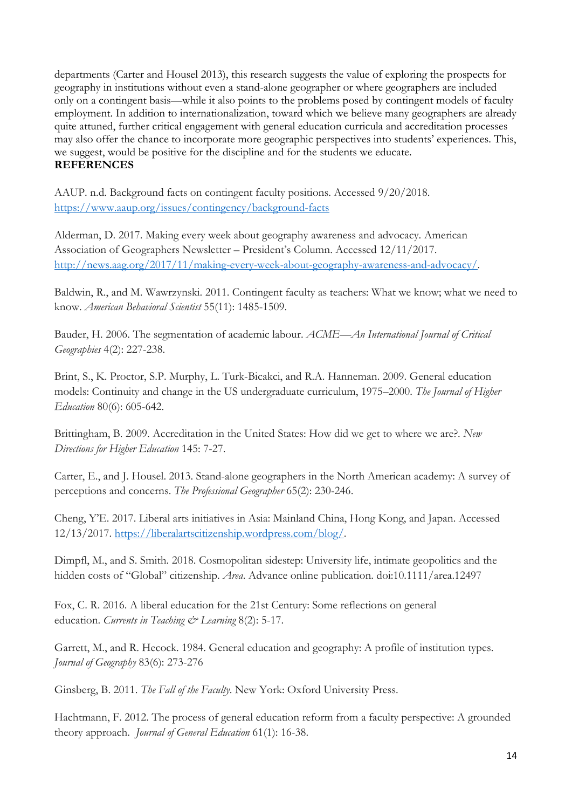departments (Carter and Housel 2013), this research suggests the value of exploring the prospects for geography in institutions without even a stand-alone geographer or where geographers are included only on a contingent basis—while it also points to the problems posed by contingent models of faculty employment. In addition to internationalization, toward which we believe many geographers are already quite attuned, further critical engagement with general education curricula and accreditation processes may also offer the chance to incorporate more geographic perspectives into students' experiences. This, we suggest, would be positive for the discipline and for the students we educate. **REFERENCES**

AAUP. n.d. Background facts on contingent faculty positions. Accessed 9/20/2018. <https://www.aaup.org/issues/contingency/background-facts>

Alderman, D. 2017. Making every week about geography awareness and advocacy. American Association of Geographers Newsletter – President's Column. Accessed 12/11/2017. [http://news.aag.org/2017/11/making-every-week-about-geography-awareness-and-advocacy/.](http://news.aag.org/2017/11/making-every-week-about-geography-awareness-and-advocacy/)

Baldwin, R., and M. Wawrzynski. 2011. Contingent faculty as teachers: What we know; what we need to know. *American Behavioral Scientist* 55(11): 1485-1509.

Bauder, H. 2006. The segmentation of academic labour. *ACME—An International Journal of Critical Geographies* 4(2): 227-238.

Brint, S., K. Proctor, S.P. Murphy, L. Turk-Bicakci, and R.A. Hanneman. 2009. General education models: Continuity and change in the US undergraduate curriculum, 1975–2000. *The Journal of Higher Education* 80(6): 605-642.

Brittingham, B. 2009. Accreditation in the United States: How did we get to where we are?. *New Directions for Higher Education* 145: 7-27.

Carter, E., and J. Housel. 2013. Stand-alone geographers in the North American academy: A survey of perceptions and concerns. *The Professional Geographer* 65(2): 230-246.

Cheng, Y'E. 2017. Liberal arts initiatives in Asia: Mainland China, Hong Kong, and Japan. Accessed 12/13/2017. [https://liberalartscitizenship.wordpress.com/blog/.](https://liberalartscitizenship.wordpress.com/blog/)

Dimpfl, M., and S. Smith. 2018. Cosmopolitan sidestep: University life, intimate geopolitics and the hidden costs of "Global" citizenship. *Area*. Advance online publication. doi:10.1111/area.12497

Fox, C. R. 2016. A liberal education for the 21st Century: Some reflections on general education. *Currents in Teaching & Learning* 8(2): 5-17.

Garrett, M., and R. Hecock. 1984. General education and geography: A profile of institution types. *Journal of Geography* 83(6): 273-276

Ginsberg, B. 2011. *The Fall of the Faculty*. New York: Oxford University Press.

Hachtmann, F. 2012. The process of general education reform from a faculty perspective: A grounded theory approach. *Journal of General Education* 61(1): 16-38.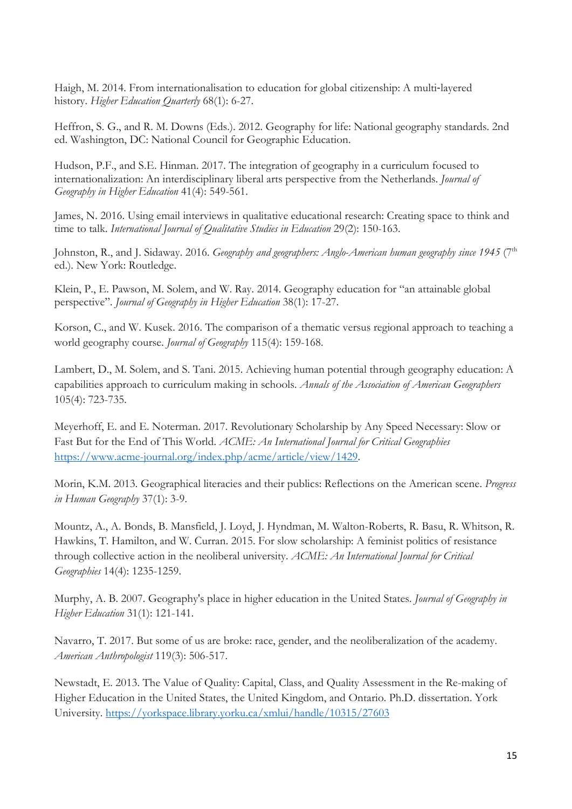Haigh, M. 2014. From internationalisation to education for global citizenship: A multi‐layered history. *Higher Education Quarterly* 68(1): 6-27.

Heffron, S. G., and R. M. Downs (Eds.). 2012. Geography for life: National geography standards. 2nd ed. Washington, DC: National Council for Geographic Education.

Hudson, P.F., and S.E. Hinman. 2017. The integration of geography in a curriculum focused to internationalization: An interdisciplinary liberal arts perspective from the Netherlands. *Journal of Geography in Higher Education* 41(4): 549-561.

James, N. 2016. Using email interviews in qualitative educational research: Creating space to think and time to talk. *International Journal of Qualitative Studies in Education* 29(2): 150-163.

Johnston, R., and J. Sidaway. 2016. *Geography and geographers: Anglo-American human geography since 1945* (7<sup>th</sup> ed.). New York: Routledge.

Klein, P., E. Pawson, M. Solem, and W. Ray. 2014. Geography education for "an attainable global perspective". *Journal of Geography in Higher Education* 38(1): 17-27.

Korson, C., and W. Kusek. 2016. The comparison of a thematic versus regional approach to teaching a world geography course. *Journal of Geography* 115(4): 159-168.

Lambert, D., M. Solem, and S. Tani. 2015. Achieving human potential through geography education: A capabilities approach to curriculum making in schools. *Annals of the Association of American Geographers* 105(4): 723-735.

Meyerhoff, E. and E. Noterman. 2017. Revolutionary Scholarship by Any Speed Necessary: Slow or Fast But for the End of This World. *ACME: An International Journal for Critical Geographies* [https://www.acme-journal.org/index.php/acme/article/view/1429.](https://www.acme-journal.org/index.php/acme/article/view/1429)

Morin, K.M. 2013. Geographical literacies and their publics: Reflections on the American scene. *Progress in Human Geography* 37(1): 3-9.

Mountz, A., A. Bonds, B. Mansfield, J. Loyd, J. Hyndman, M. Walton-Roberts, R. Basu, R. Whitson, R. Hawkins, T. Hamilton, and W. Curran. 2015. For slow scholarship: A feminist politics of resistance through collective action in the neoliberal university. *ACME: An International Journal for Critical Geographies* 14(4): 1235-1259.

Murphy, A. B. 2007. Geography's place in higher education in the United States. *Journal of Geography in Higher Education* 31(1): 121-141.

Navarro, T. 2017. But some of us are broke: race, gender, and the neoliberalization of the academy. *American Anthropologist* 119(3): 506-517.

Newstadt, E. 2013. The Value of Quality: Capital, Class, and Quality Assessment in the Re-making of Higher Education in the United States, the United Kingdom, and Ontario. Ph.D. dissertation. York University.<https://yorkspace.library.yorku.ca/xmlui/handle/10315/27603>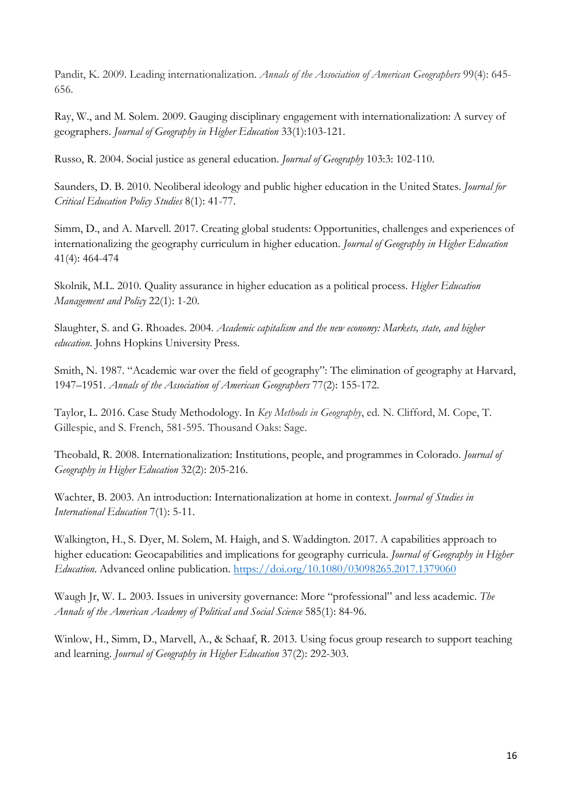Pandit, K. 2009. Leading internationalization. *Annals of the Association of American Geographers* 99(4): 645- 656.

Ray, W., and M. Solem. 2009. Gauging disciplinary engagement with internationalization: A survey of geographers. *Journal of Geography in Higher Education* 33(1):103-121.

Russo, R. 2004. Social justice as general education. *Journal of Geography* 103:3: 102-110.

Saunders, D. B. 2010. Neoliberal ideology and public higher education in the United States. *Journal for Critical Education Policy Studies* 8(1): 41-77.

Simm, D., and A. Marvell. 2017. Creating global students: Opportunities, challenges and experiences of internationalizing the geography curriculum in higher education. *Journal of Geography in Higher Education* 41(4): 464-474

Skolnik, M.L. 2010. Quality assurance in higher education as a political process. *Higher Education Management and Policy* 22(1): 1-20.

Slaughter, S. and G. Rhoades. 2004. *Academic capitalism and the new economy: Markets, state, and higher education*. Johns Hopkins University Press.

Smith, N. 1987. "Academic war over the field of geography": The elimination of geography at Harvard, 1947–1951. *Annals of the Association of American Geographers* 77(2): 155-172.

Taylor, L. 2016. Case Study Methodology. In *Key Methods in Geography*, ed. N. Clifford, M. Cope, T. Gillespie, and S. French, 581-595. Thousand Oaks: Sage.

Theobald, R. 2008. Internationalization: Institutions, people, and programmes in Colorado. *Journal of Geography in Higher Education* 32(2): 205-216.

Wachter, B. 2003. An introduction: Internationalization at home in context. *Journal of Studies in International Education* 7(1): 5-11.

Walkington, H., S. Dyer, M. Solem, M. Haigh, and S. Waddington. 2017. A capabilities approach to higher education: Geocapabilities and implications for geography curricula. *Journal of Geography in Higher Education*. Advanced online publication.<https://doi.org/10.1080/03098265.2017.1379060>

Waugh Jr, W. L. 2003. Issues in university governance: More "professional" and less academic. *The Annals of the American Academy of Political and Social Science* 585(1): 84-96.

Winlow, H., Simm, D., Marvell, A., & Schaaf, R. 2013. Using focus group research to support teaching and learning. *Journal of Geography in Higher Education* 37(2): 292-303.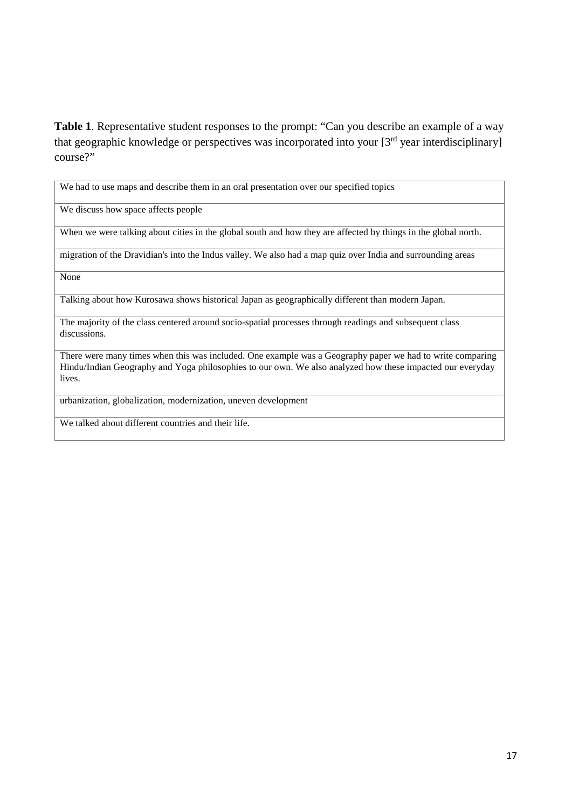**Table 1**. Representative student responses to the prompt: "Can you describe an example of a way that geographic knowledge or perspectives was incorporated into your  $[3<sup>rd</sup>$  year interdisciplinary] course?"

We had to use maps and describe them in an oral presentation over our specified topics

We discuss how space affects people

When we were talking about cities in the global south and how they are affected by things in the global north.

migration of the Dravidian's into the Indus valley. We also had a map quiz over India and surrounding areas

None

Talking about how Kurosawa shows historical Japan as geographically different than modern Japan.

The majority of the class centered around socio-spatial processes through readings and subsequent class discussions.

There were many times when this was included. One example was a Geography paper we had to write comparing Hindu/Indian Geography and Yoga philosophies to our own. We also analyzed how these impacted our everyday lives.

urbanization, globalization, modernization, uneven development

We talked about different countries and their life.